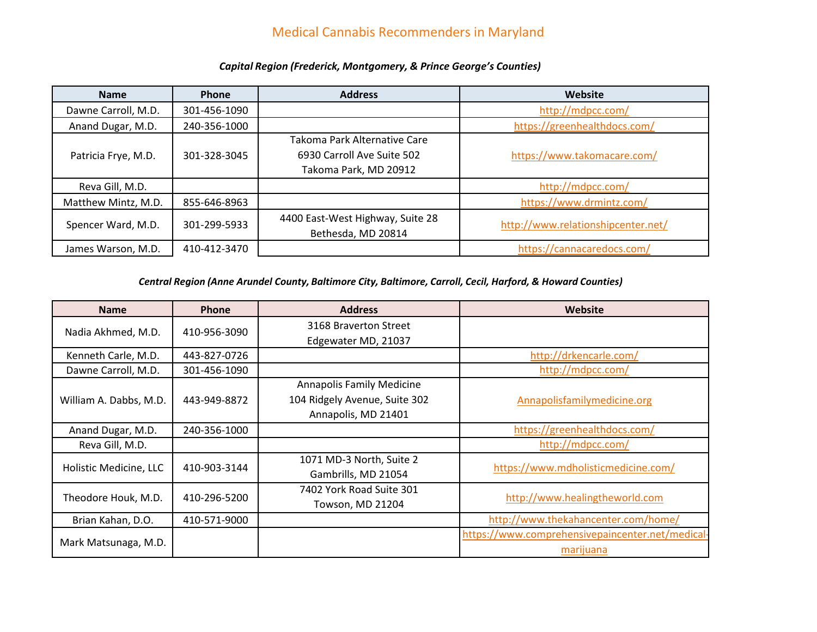## Medical Cannabis Recommenders in Maryland

| <b>Name</b>         | Phone        | <b>Address</b>                   | Website                            |
|---------------------|--------------|----------------------------------|------------------------------------|
| Dawne Carroll, M.D. | 301-456-1090 |                                  | http://mdpcc.com/                  |
| Anand Dugar, M.D.   | 240-356-1000 |                                  | https://greenhealthdocs.com/       |
|                     |              | Takoma Park Alternative Care     |                                    |
| Patricia Frye, M.D. | 301-328-3045 | 6930 Carroll Ave Suite 502       | https://www.takomacare.com/        |
|                     |              | Takoma Park, MD 20912            |                                    |
| Reva Gill, M.D.     |              |                                  | http://mdpcc.com/                  |
| Matthew Mintz, M.D. | 855-646-8963 |                                  | https://www.drmintz.com/           |
| Spencer Ward, M.D.  | 301-299-5933 | 4400 East-West Highway, Suite 28 | http://www.relationshipcenter.net/ |
|                     |              | Bethesda, MD 20814               |                                    |
| James Warson, M.D.  | 410-412-3470 |                                  | https://cannacaredocs.com/         |

#### *Capital Region (Frederick, Montgomery, & Prince George's Counties)*

*Central Region (Anne Arundel County, Baltimore City, Baltimore, Carroll, Cecil, Harford, & Howard Counties)*

| <b>Name</b>            | <b>Phone</b> | <b>Address</b>                   | Website                                          |
|------------------------|--------------|----------------------------------|--------------------------------------------------|
| Nadia Akhmed, M.D.     | 410-956-3090 | 3168 Braverton Street            |                                                  |
|                        |              | Edgewater MD, 21037              |                                                  |
| Kenneth Carle, M.D.    | 443-827-0726 |                                  | http://drkencarle.com/                           |
| Dawne Carroll, M.D.    | 301-456-1090 |                                  | http://mdpcc.com/                                |
|                        |              | <b>Annapolis Family Medicine</b> |                                                  |
| William A. Dabbs, M.D. | 443-949-8872 | 104 Ridgely Avenue, Suite 302    | Annapolisfamilymedicine.org                      |
|                        |              | Annapolis, MD 21401              |                                                  |
| Anand Dugar, M.D.      | 240-356-1000 |                                  | https://greenhealthdocs.com/                     |
| Reva Gill, M.D.        |              |                                  | http://mdpcc.com/                                |
| Holistic Medicine, LLC | 410-903-3144 | 1071 MD-3 North, Suite 2         | https://www.mdholisticmedicine.com/              |
|                        |              | Gambrills, MD 21054              |                                                  |
| Theodore Houk, M.D.    | 410-296-5200 | 7402 York Road Suite 301         | http://www.healingtheworld.com                   |
|                        |              | Towson, MD 21204                 |                                                  |
| Brian Kahan, D.O.      | 410-571-9000 |                                  | http://www.thekahancenter.com/home/              |
|                        |              |                                  | https://www.comprehensivepaincenter.net/medical- |
| Mark Matsunaga, M.D.   |              |                                  | marijuana                                        |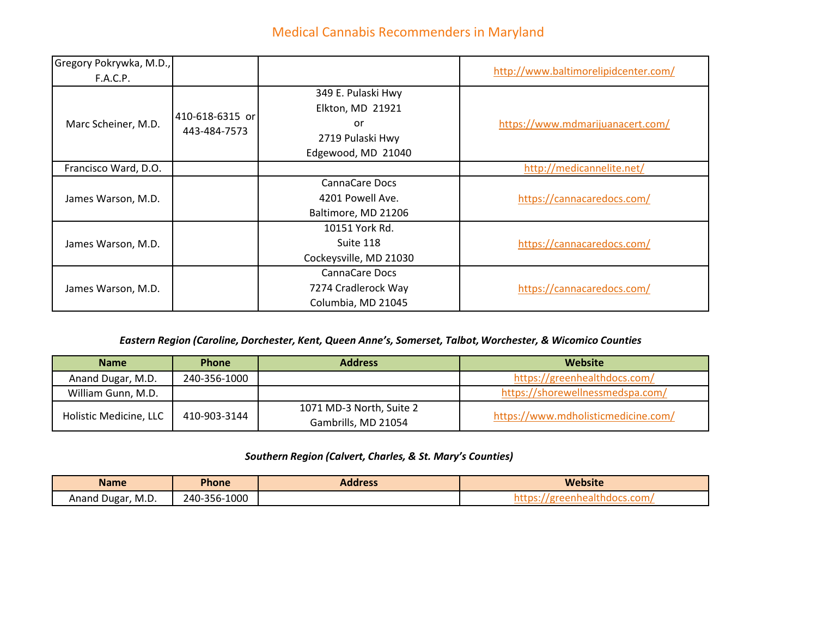# Medical Cannabis Recommenders in Maryland

| Gregory Pokrywka, M.D., |                                 |                        | http://www.baltimorelipidcenter.com/ |
|-------------------------|---------------------------------|------------------------|--------------------------------------|
| F.A.C.P.                |                                 |                        |                                      |
| Marc Scheiner, M.D.     | 410-618-6315 or<br>443-484-7573 | 349 E. Pulaski Hwy     |                                      |
|                         |                                 | Elkton, MD 21921       | https://www.mdmarijuanacert.com/     |
|                         |                                 | or                     |                                      |
|                         |                                 | 2719 Pulaski Hwy       |                                      |
|                         |                                 | Edgewood, MD 21040     |                                      |
| Francisco Ward, D.O.    |                                 |                        | http://medicannelite.net/            |
| James Warson, M.D.      |                                 | <b>CannaCare Docs</b>  |                                      |
|                         |                                 | 4201 Powell Ave.       | https://cannacaredocs.com/           |
|                         |                                 | Baltimore, MD 21206    |                                      |
|                         |                                 | 10151 York Rd.         |                                      |
| James Warson, M.D.      |                                 | Suite 118              | https://cannacaredocs.com/           |
|                         |                                 | Cockeysville, MD 21030 |                                      |
| James Warson, M.D.      |                                 | <b>CannaCare Docs</b>  |                                      |
|                         |                                 | 7274 Cradlerock Way    | https://cannacaredocs.com/           |
|                         |                                 | Columbia, MD 21045     |                                      |

#### *Eastern Region (Caroline, Dorchester, Kent, Queen Anne's, Somerset, Talbot, Worchester, & Wicomico Counties*

| <b>Name</b>            | <b>Phone</b> | <b>Address</b>           | Website                             |
|------------------------|--------------|--------------------------|-------------------------------------|
| Anand Dugar, M.D.      | 240-356-1000 |                          | https://greenhealthdocs.com/        |
| William Gunn, M.D.     |              |                          | https://shorewellnessmedspa.com/    |
| Holistic Medicine, LLC | 410-903-3144 | 1071 MD-3 North, Suite 2 | https://www.mdholisticmedicine.com/ |
|                        |              | Gambrills, MD 21054      |                                     |

#### *Southern Region (Calvert, Charles, & St. Mary's Counties)*

| <b>Name</b>       | <b>Phone</b> | <b>Address</b> | <b>Website</b> |
|-------------------|--------------|----------------|----------------|
| Anand Dugar, M.D. | 240-356-1000 |                |                |